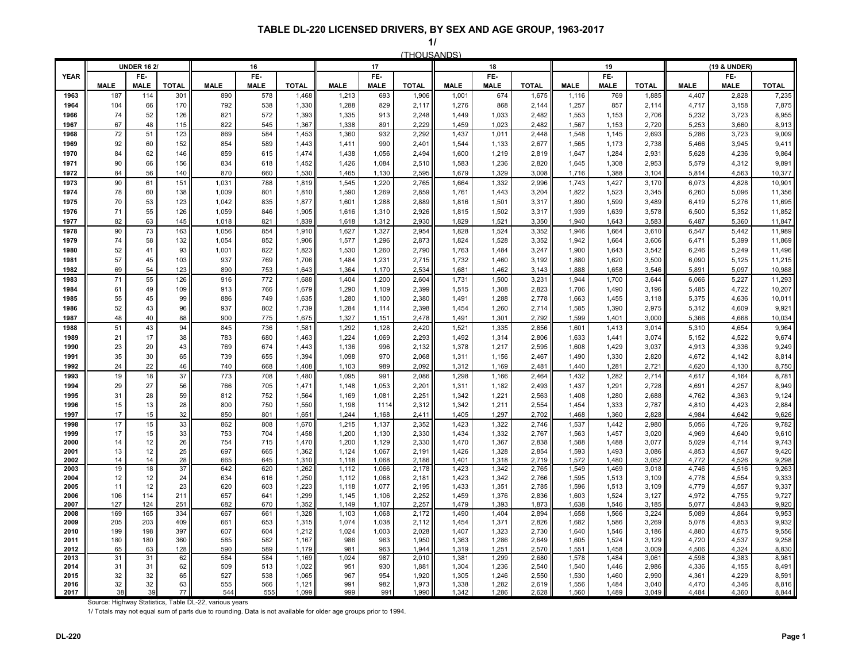|              |             | <b>UNDER 16 2/</b> |                 |             | 16          |                |                | 17             |                |                | 18             |                |                | 19             |                |                | (19 & UNDER)   |                  |
|--------------|-------------|--------------------|-----------------|-------------|-------------|----------------|----------------|----------------|----------------|----------------|----------------|----------------|----------------|----------------|----------------|----------------|----------------|------------------|
| <b>YEAR</b>  |             | FE-                |                 |             | FE-         |                |                | F              |                |                | FE-            |                |                | FE-            |                |                | FE-            |                  |
|              | <b>MALE</b> | <b>MALE</b>        | <b>TOTAL</b>    | <b>MALE</b> | <b>MALE</b> | <b>TOTAL</b>   | <b>MALE</b>    | <b>MALE</b>    | <b>TOTAL</b>   | <b>MALE</b>    | <b>MALE</b>    | <b>TOTAL</b>   | <b>MALE</b>    | <b>MALE</b>    | <b>TOTAL</b>   | <b>MALE</b>    | <b>MALE</b>    | <b>TOTAL</b>     |
| 1963         | 187         | 114                | 30 <sup>1</sup> | 890         | 578         | 1,468          | 1,213          | 693            | 1,906          | 1,001          | 674            | 1,675          | 1,116          | 769            | 1,885          | 4,407          | 2,828          | 7,235            |
| 1964         | 104         | 66                 | 170             | 792         | 538         | 1,330          | 1,288          | 829            | 2,117          | 1,276          | 868            | 2,144          | 1,257          | 857            | 2,114          | 4,717          | 3,158          | 7,875            |
| 1966         | 74<br>67    | 52<br>48           | 126             | 821<br>822  | 572<br>545  | 1,393          | 1,335<br>1,338 | 913<br>891     | 2,248<br>2,229 | 1,449<br>1,459 | 1,033<br>1,023 | 2,482<br>2,482 | 1,553          | 1,153          | 2,706          | 5,232<br>5,253 | 3,723<br>3,660 | 8,955            |
| 1967<br>1968 | 72          | 51                 | 115<br>123      | 869         | 584         | 1,367<br>1,453 | 1,360          | 932            | 2,292          | 1,437          | 1,011          | 2,448          | 1,567<br>1,548 | 1,153<br>1,145 | 2,720<br>2,693 | 5,286          | 3,723          | 8,913<br>9,009   |
| 1969         | 92          | 60                 | 152             | 854         | 589         | 1,443          | 1,411          | 990            | 2,401          | 1,544          | 1,133          | 2,677          | 1,565          | 1,173          | 2,738          | 5,466          | 3,945          | 9,411            |
| 1970         | 84          | 62                 | 146             | 859         | 615         | 1,474          | 1,438          | 1,056          | 2,494          | 1,600          | 1,219          | 2,819          | 1,647          | 1,284          | 2,931          | 5,628          | 4,236          | 9,864            |
| 1971         | 90          | 66                 | 156             | 834         | 618         | 1,452          | 1,426          | 1,084          | 2,510          | 1,583          | 1,236          | 2,820          | 1,645          | 1,308          | 2,953          | 5,579          | 4,312          | 9,891            |
| 1972         | 84          | 56                 | 140             | 870         | 660         | 1,530          | 1,465          | 1,130          | 2,595          | 1,679          | 1,329          | 3,008          | 1,716          | 1,388          | 3,104          | 5,814          | 4,563          | 10,377           |
| 1973         | 90          | 61                 | 151             | 1,031       | 788         | 1,819          | 1,545          | 1,220          | 2,765          | 1,664          | 1,332          | 2,996          | 1,743          | 1,427          | 3,170          | 6,073          | 4,828          | 10,901           |
| 1974         | 78          | 60                 | 138             | 1,009       | 801         | 1,810          | 1,590          | 1,269          | 2,859          | 1,761          | 1,443          | 3,204          | 1,822          | 1,523          | 3,345          | 6,260          | 5,096          | 11,356           |
| 1975         | 70          | 53                 | 123             | 1,042       | 835         | 1,877          | 1,601          | 1,288          | 2.889          | 1,816          | 1,501          | 3,317          | 1,890          | 1,599          | 3,489          | 6,419          | 5,276          | 11,695           |
| 1976         | 71          | 55                 | 126             | 1,059       | 846         | 1,905          | 1,616          | 1,310          | 2,926          | 1,815          | 1,502          | 3,317          | 1,939          | 1,639          | 3,578          | 6,500          | 5,352          | 11,852           |
| 1977         | 82          | 63                 | 145             | 1,018       | 821         | 1,839          | 1,618          | 1,312          | 2,930          | 1,829          | 1,521          | 3,350          | 1,940          | 1,643          | 3,583          | 6,487          | 5,360          | 11,847           |
| 1978         | 90          | 73                 | 163             | 1,056       | 854         | 1,910          | 1,627          | 1,327          | 2,954          | 1,828          | 1,524          | 3,352          | 1,946          | 1,664          | 3,610          | 6,547          | 5,442          | 11,989           |
| 1979         | 74          | 58                 | 132             | 1,054       | 852         | 1,906          | 1,577          | 1,296          | 2,873          | 1,824          | 1,528          | 3,352          | 1,942          | 1,664          | 3,606          | 6,471          | 5,399          | 11,869           |
| 1980         | 52          | 41                 | 93              | 1,001       | 822         | 1,823          | 1,530          | 1,260          | 2,790          | 1,763          | 1,484          | 3,247          | 1,900          | 1,643          | 3,542          | 6,246          | 5,249          | 11,496           |
| 1981         | 57          | 45                 | 103             | 937         | 769         | 1,706          | 1,484          | 1,231          | 2,715          | 1,732          | 1,460          | 3,192          | 1,880          | 1,620          | 3,500          | 6,090          | 5,125          | 11,215           |
| 1982         | 69          | 54                 | 123             | 890         | 753         | 1,643          | 1,364          | 1,170          | 2,534          | 1,681          | 1,462          | 3,143          | 1,888          | 1,658          | 3,546          | 5,891          | 5,097          | 10,988           |
| 1983         | 71          | 55                 | 126             | 916         | 772         | 1,688          | 1,404          | 1,200          | 2,604          | 1,731          | 1,500          | 3,231          | 1,944          | 1,700          | 3,644          | 6,066          | 5,227          | 11,293           |
| 1984<br>1985 | 61<br>55    | 49<br>45           | 109<br>99       | 913<br>886  | 766<br>749  | 1,679<br>1,635 | 1,290<br>1,280 | 1,109<br>1,100 | 2,399<br>2,380 | 1,515<br>1,491 | 1,308<br>1,288 | 2,823<br>2,778 | 1,706<br>1,663 | 1,490<br>1,455 | 3,196<br>3,118 | 5,485<br>5,375 | 4,722<br>4,636 | 10,207<br>10,011 |
| 1986         | 52          | 43                 | 96              | 937         | 802         | 1,739          | 1,284          | 1,114          | 2,398          | 1,454          | 1,260          | 2,714          | 1,585          | 1,390          | 2,975          | 5,312          | 4,609          | 9,921            |
| 1987         | 48          | 40                 | 88              | 900         | 775         | 1,675          | 1,327          | 1,151          | 2,478          | 1,491          | 1,301          | 2,792          | 1,599          | 1,401          | 3,000          | 5,366          | 4,668          | 10,034           |
| 1988         | 51          | 43                 | 94              | 845         | 736         | 1,581          | 1,292          | 1,128          | 2,420          | 1,521          | 1,335          | 2,856          | 1,601          | 1,413          | 3,014          | 5,310          | 4,654          | 9,964            |
| 1989         | 21          | 17                 | 38              | 783         | 680         | 1,463          | 1,224          | 1,069          | 2,293          | 1,492          | 1,314          | 2,806          | 1,633          | 1,441          | 3,074          | 5,152          | 4,522          | 9,674            |
| 1990         | 23          | 20                 | 43              | 769         | 674         | 1,443          | 1,136          | 996            | 2,132          | 1,378          | 1,217          | 2,595          | 1,608          | 1,429          | 3,037          | 4,913          | 4,336          | 9,249            |
| 1991         | 35          | 30                 | 65              | 739         | 655         | 1,394          | 1,098          | 970            | 2,068          | 1,311          | 1,156          | 2,467          | 1,490          | 1,330          | 2,820          | 4,672          | 4,142          | 8,814            |
| 1992         | 24          | 22                 | 46              | 740         | 668         | 1,408          | 1,103          | 989            | 2,092          | 1,312          | 1,169          | 2,481          | 1,440          | 1,281          | 2,721          | 4,620          | 4,130          | 8,750            |
| 1993         | 19          | 18                 | 37              | 773         | 708         | 1,480          | 1,095          | 991            | 2,086          | 1,298          | 1,166          | 2,464          | 1,432          | 1,282          | 2,714          | 4,617          | 4,164          | 8,781            |
| 1994         | 29          | 27                 | 56              | 766         | 705         | 1,471          | 1,148          | 1,053          | 2,201          | 1,311          | 1,182          | 2,493          | 1,437          | 1,291          | 2,728          | 4,691          | 4,257          | 8,949            |
| 1995         | 31          | 28                 | 59              | 812         | 752         | 1,564          | 1,169          | 1,081          | 2,251          | 1,342          | 1,221          | 2,563          | 1,408          | 1,280          | 2,688          | 4,762          | 4,363          | 9,124            |
| 1996         | 15          | 13                 | 28              | 800         | 750         | 1,550          | 1,198          | 1114           | 2,312          | 1,342          | 1,211          | 2,554          | 1,454          | 1,333          | 2,787          | 4,810          | 4,423          | 2,884            |
| 1997         | 17          | 15                 | 32              | 850         | 801         | 1,651          | 1,244          | 1,168          | 2,411          | 1,405          | 1,297          | 2,702          | 1,468          | 1,360          | 2,828          | 4,984          | 4,642          | 9,626            |
| 1998<br>1999 | 17<br>17    | 15<br>15           | 33<br>33        | 862         | 808<br>704  | 1,670<br>1,458 | 1,215          | 1,137          | 2,352          | 1,423<br>1,434 | 1,322<br>1,332 | 2,746          | 1,537          | 1,442          | 2,980          | 5,056          | 4,726<br>4,640 | 9,782<br>9,610   |
| 2000         | 14          | 12                 | 26              | 753<br>754  | 715         | 1,470          | 1,200<br>1,200 | 1,130<br>1,129 | 2,330<br>2,330 | 1,470          | 1,367          | 2,767<br>2,838 | 1,563<br>1,588 | 1,457<br>1,488 | 3,020<br>3,077 | 4,969<br>5,029 | 4,714          | 9,743            |
| 2001         | 13          | 12                 | 25              | 697         | 665         | 1,362          | 1,124          | 1,067          | 2,191          | 1,426          | 1,328          | 2,854          | 1,593          | 1,493          | 3,086          | 4,853          | 4,567          | 9,420            |
| 2002         | 14          | 14                 | 28              | 665         | 645         | 1,310          | 1,118          | 1,068          | 2,186          | 1,401          | 1,318          | 2,719          | 1,572          | 1,480          | 3,052          | 4,772          | 4,526          | 9,298            |
| 2003         | 19          | 18                 | 37              | 642         | 620         | 1,262          | 1,112          | 1,066          | 2,178          | 1,423          | 1,342          | 2,765          | 1,549          | 1,469          | 3,018          | 4,746          | 4,516          | 9,263            |
| 2004         | 12          | 12                 | 24              | 634         | 616         | 1,250          | 1,112          | 1,068          | 2,181          | 1,423          | 1,342          | 2,766          | 1,595          | 1,513          | 3,109          | 4,778          | 4,554          | 9,333            |
| 2005         | 11          | 12<br>114          | 23              | 620         | 603         | 1,223          | 1,118          | 1,077          | 2,195          | 1,433          | 1,351          | 2,785          | 1,596          | 1,513          | 3,109          | 4,779          | 4,557          | 9,337            |
| 2006<br>2007 | 106<br>127  | 124                | 211<br>251      | 657<br>682  | 641<br>670  | 1,299<br>1,352 | 1,145<br>1,149 | 1,106<br>1,107 | 2,252<br>2,257 | 1,459<br>1.479 | 1,376<br>1,393 | 2,836<br>1,873 | 1,603<br>1,638 | 1,524<br>1,546 | 3,127<br>3,185 | 4,972<br>5,077 | 4,755<br>4.843 | 9,727<br>9,920   |
| 2008         | 169         | 165                | 334             | 667         | 661         | 1,328          | 1,103          | 1,068          | 2,172          | 1,490          | 1,404          | 2,894          | 1,658          | 1,566          | 3,224          | 5,089          | 4,864          | 9,953            |
| 2009         | 205         | 203                | 409             | 661         | 653         | 1,315          | 1,074          | 1,038          | 2,112          | 1,454          | 1,371          | 2,826          | 1,682          | 1,586          | 3,269          | 5,078          | 4,853          | 9,932            |
| 2010         | 199         | 198                | 397             | 607         | 604         | 1,212          | 1,024          | 1,003          | 2,028          | 1,407          | 1,323          | 2,730          | 1,640          | 1,546          | 3,186          | 4,880          | 4,675          | 9,556            |
| 2011         | 180         | 180                | 360             | 585         | 582         | 1,167          | 986            | 963            | 1,950          | 1,363          | 1,286          | 2,649          | 1,605          | 1,524          | 3,129          | 4,720          | 4,537          | 9,258            |
| 2012         | 65          | 63                 | 128             | 590         | 589         | 1,179          | 981            | 963            | 1,944          | 1,319          | 1,251          | 2,570          | 1,551          | 1,458          | 3,009          | 4,506          | 4,324          | 8,830            |
| 2013<br>2014 | 31<br>31    | 31<br>31           | 62<br>62        | 584<br>509  | 584<br>513  | 1,169<br>1,022 | 1,024<br>951   | 987<br>930     | 2,010<br>1,881 | 1,381<br>1,304 | 1,299<br>1,236 | 2,680<br>2,540 | 1,578<br>1,540 | 1,484<br>1,446 | 3,061<br>2,986 | 4,598<br>4,336 | 4,383<br>4,155 | 8,981<br>8,491   |
| 2015         | 32          | 32                 | 65              | 527         | 538         | 1,065          | 967            | 954            | 1,920          | 1,305          | 1,246          | 2,550          | 1,530          | 1,460          | 2,990          | 4,361          | 4,229          | 8,591            |
| 2016         | 32          | 32                 | 63              | 555         | 566         | 1,121          | 991            | 982            | 1,973          | 1,338          | 1,282          | 2,619          | 1,556          | 1,484          | 3,040          | 4,470          | 4,346          | 8,816            |
| 2017         | 38          | 39                 | 77              | 544         | 555         | 1,099          | 999            | 991            | 1,990          | 1,342          | 1,286          | 2,628          | 1,560          | 1,489          | 3,049          | 4,484          | 4,360          | 8,844            |

Source: Highway Statistics, Table DL-22, various years

1/ Totals may not equal sum of parts due to rounding. Data is not available for older age groups prior to 1994.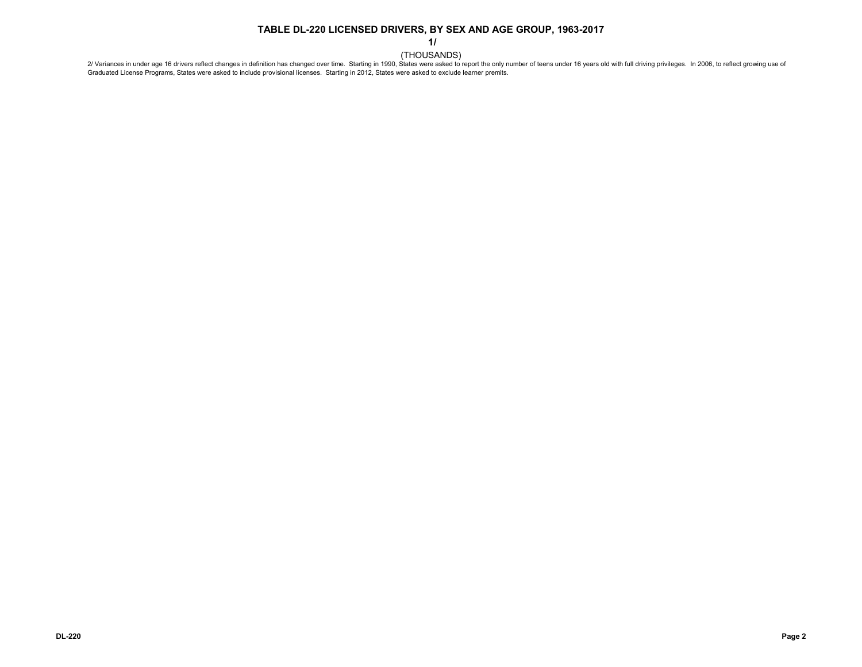**1/**

THOUSANDS)<br>2/ Variances in under age 16 drivers reflect changes in definition has changed over time. Starting in 1990, States were asked to report the only number of teens under 16 years old with full driving privileges. Graduated License Programs, States were asked to include provisional licenses. Starting in 2012, States were asked to exclude learner premits.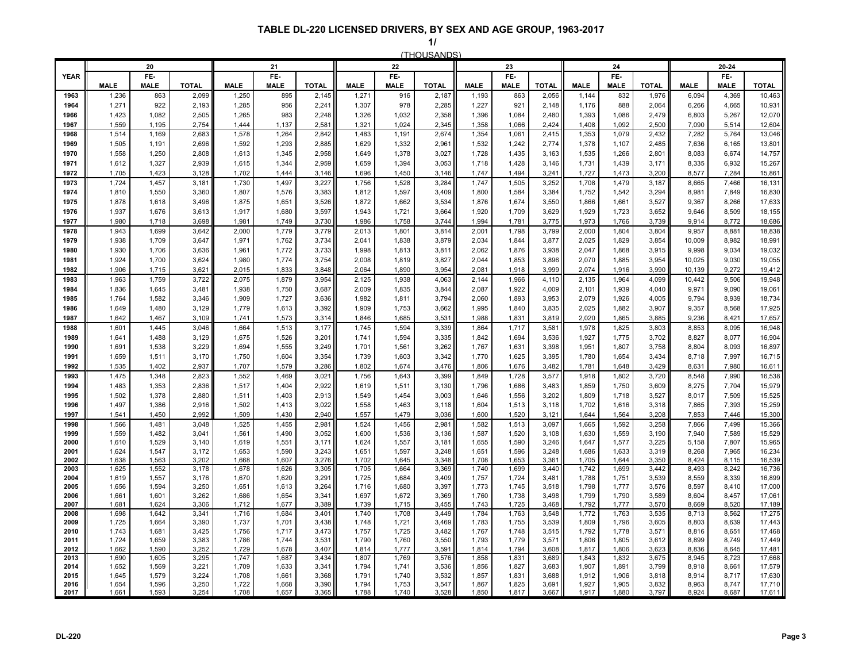|              |                | 20             |                |                | 21             |                |                | 22             |                |                | 23             |                |                | 24             |                |                | 20-24          |                  |
|--------------|----------------|----------------|----------------|----------------|----------------|----------------|----------------|----------------|----------------|----------------|----------------|----------------|----------------|----------------|----------------|----------------|----------------|------------------|
| <b>YEAR</b>  |                | FE-            |                |                | FE-            |                |                | FE-            |                |                | FE-            |                |                | FE-            |                |                | FE-            |                  |
|              | <b>MALE</b>    | <b>MALE</b>    | <b>TOTAL</b>   | <b>MALE</b>    | <b>MALE</b>    | <b>TOTAL</b>   | <b>MALE</b>    | <b>MALE</b>    | <b>TOTAL</b>   | <b>MALE</b>    | <b>MALE</b>    | <b>TOTAL</b>   | <b>MALE</b>    | <b>MALE</b>    | <b>TOTAL</b>   | <b>MALE</b>    | <b>MALE</b>    | <b>TOTAL</b>     |
| 1963         | 1,236          | 863            | 2,099          | 1,250          | 895            | 2,145          | 1,271          | 916            | 2,187          | 1,193          | 863            | 2,056          | 1,144          | 832            | 1,976          | 6,094          | 4,369          | 10,463           |
| 1964         | 1,271          | 922            | 2,193          | 1,285          | 956            | 2,241          | 1,307          | 978            | 2,285          | 1,227          | 921            | 2,148          | 1,176          | 888            | 2,064          | 6,266          | 4,665          | 10,931           |
| 1966<br>1967 | 1,423<br>1,559 | 1,082<br>1,195 | 2,505<br>2,754 | 1,265<br>1.444 | 983<br>1,137   | 2,248<br>2,581 | 1,326<br>1,321 | 1,032<br>1,024 | 2,358<br>2,345 | 1,396<br>1,358 | 1,084<br>1,066 | 2,480<br>2,424 | 1,393<br>1.408 | 1,086<br>1,092 | 2,479<br>2,500 | 6,803<br>7,090 | 5,267<br>5,514 | 12,070<br>12,604 |
| 1968         | 1,514          | 1,169          | 2,683          | 1,578          | 1,264          | 2,842          | 1,483          | 1,191          | 2,674          | 1,354          | 1,061          | 2,415          | 1,353          | 1,079          | 2,432          | 7,282          | 5,764          | 13,046           |
| 1969         | 1,505          | 1,191          | 2,696          | 1,592          | 1,293          | 2,885          | 1,629          | 1,332          | 2,961          | 1,532          | 1,242          | 2,774          | 1,378          | 1,107          | 2,485          | 7,636          | 6,165          | 13,801           |
| 1970         | 1,558          | 1,250          | 2,808          | 1,613          | 1,345          | 2,958          | 1,649          | 1,378          | 3,027          | 1,728          | 1,435          | 3,163          | 1,535          | 1,266          | 2,801          | 8,083          | 6,674          | 14,757           |
| 1971         | 1,612          | 1,327          | 2,939          | 1,615          | 1,344          | 2,959          | 1,659          | 1,394          | 3,053          | 1,718          | 1,428          | 3,146          | 1,731          | 1,439          | 3,171          | 8,335          | 6,932          | 15,267           |
| 1972         | 1,705          | 1,423          | 3,128          | 1,702          | 1,444          | 3,146          | 1,696          | 1,450          | 3,146          | 1,747          | 1,494          | 3,241          | 1,727          | 1,473          | 3,200          | 8,577          | 7,284          | 15,861           |
| 1973         | 1,724          | 1,457          | 3,181          | 1,730          | 1,497          | 3,227          | 1,756          | 1,528          | 3,284          | 1,747          | 1,505          | 3,252          | 1,708          | 1,479          | 3,187          | 8,665          | 7,466          | 16,131           |
| 1974         | 1,810          | 1,550          | 3,360          | 1,807          | 1,576          | 3,383          | 1,812          | 1,597          | 3,409          | 1,800          | 1,584          | 3,384          | 1,752          | 1,542          | 3,294          | 8,981          | 7,849          | 16,830           |
| 1975         | 1,878          | 1,618          | 3,496          | 1,875          | 1,651          | 3,526          | 1,872          | 1,662          | 3,534          | 1,876          | 1,674          | 3,550          | 1,866          | 1,661          | 3,527          | 9,367          | 8,266          | 17,633           |
| 1976         | 1,937          | 1,676          | 3,613<br>3,698 | 1,917          | 1,680          | 3,597          | 1,943          | 1,721          | 3,664          | 1,920          | 1,709          | 3,629          | 1,929          | 1,723<br>1,766 | 3,652          | 9,646          | 8,509          | 18,155           |
| 1977<br>1978 | 1,980<br>1,943 | 1,718<br>1,699 | 3,642          | 1,981<br>2,000 | 1,749<br>1,779 | 3,730<br>3,779 | 1,986<br>2,013 | 1,758<br>1,801 | 3,744<br>3,814 | 1,994<br>2,001 | 1,781<br>1,798 | 3,775<br>3,799 | 1,973<br>2,000 | 1,804          | 3,739<br>3,804 | 9,914<br>9,957 | 8,772<br>8,881 | 18,686<br>18,838 |
| 1979         | 1,938          | 1,709          | 3,647          | 1,971          | 1,762          | 3,734          | 2,041          | 1,838          | 3,879          | 2,034          | 1,844          | 3,877          | 2,025          | 1,829          | 3,854          | 10,009         | 8,982          | 18,991           |
| 1980         | 1,930          | 1,706          | 3,636          | 1,961          | 1,772          | 3,733          | 1,998          | 1,813          | 3,811          | 2,062          | 1,876          | 3,938          | 2,047          | 1,868          | 3,915          | 9,998          | 9,034          | 19,032           |
| 1981         | 1,924          | 1,700          | 3,624          | 1.980          | 1,774          | 3.754          | 2,008          | 1.819          | 3,827          | 2.044          | 1.853          | 3,896          | 2,070          | 1.885          | 3.954          | 10,025         | 9.030          | 19,055           |
| 1982         | 1,906          | 1,715          | 3,621          | 2,015          | 1,833          | 3,848          | 2,064          | 1,890          | 3,954          | 2,081          | 1,918          | 3,999          | 2,074          | 1,916          | 3,990          | 10,139         | 9,272          | 19,412           |
| 1983         | 1,963          | 1,759          | 3,722          | 2,075          | 1,879          | 3,954          | 2,125          | 1,938          | 4,063          | 2,144          | 1,966          | 4,110          | 2,135          | 1,964          | 4,099          | 10,442         | 9,506          | 19,948           |
| 1984         | 1,836          | 1,645          | 3,481          | 1,938          | 1,750          | 3,687          | 2,009          | 1,835          | 3,844          | 2,087          | 1,922          | 4,009          | 2,101          | 1,939          | 4,040          | 9,971          | 9,090          | 19,061           |
| 1985         | 1,764          | 1,582          | 3,346          | 1,909          | 1,727          | 3,636          | 1,982          | 1,811          | 3,794          | 2,060          | 1,893          | 3,953          | 2,079          | 1,926          | 4,005          | 9,794          | 8,939          | 18,734           |
| 1986         | 1,649          | 1,480          | 3,129          | 1,779          | 1,613          | 3,392          | 1,909          | 1,753          | 3,662          | 1,995          | 1,840          | 3,835          | 2,025          | 1,882          | 3,907          | 9,357          | 8,568          | 17,925           |
| 1987         | 1,642          | 1,467          | 3.109          | 1.741          | 1,573          | 3,314          | 1,846          | 1,685          | 3,531          | 1,988          | 1,831          | 3,819          | 2.020          | 1,865          | 3,885          | 9,236          | 8,421          | 17,657           |
| 1988<br>1989 | 1,601<br>1,641 | 1,445<br>1,488 | 3,046<br>3,129 | 1,664<br>1,675 | 1,513<br>1,526 | 3,177<br>3,201 | 1,745<br>1,741 | 1,594<br>1,594 | 3,339<br>3,335 | 1,864<br>1,842 | 1,717<br>1,694 | 3,581<br>3,536 | 1,978<br>1,927 | 1,825<br>1,775 | 3,803<br>3,702 | 8,853<br>8,827 | 8,095<br>8,077 | 16,948<br>16,904 |
| 1990         | 1,691          | 1,538          | 3,229          | 1,694          | 1,555          | 3,249          | 1,701          | 1,561          | 3,262          | 1,767          | 1,631          | 3,398          | 1,951          | 1,807          | 3,758          | 8,804          | 8,093          | 16,897           |
| 1991         | 1,659          | 1,511          | 3,170          | 1,750          | 1,604          | 3,354          | 1,739          | 1,603          | 3,342          | 1,770          | 1,625          | 3,395          | 1,780          | 1,654          | 3,434          | 8,718          | 7,997          | 16,715           |
| 1992         | 1,535          | 1,402          | 2,937          | 1,707          | 1,579          | 3,286          | 1,802          | 1,674          | 3,476          | 1,806          | 1,676          | 3,482          | 1,781          | 1,648          | 3,429          | 8,631          | 7,980          | 16,611           |
| 1993         | 1,475          | 1,348          | 2,823          | 1,552          | 1,469          | 3,021          | 1,756          | 1,643          | 3,399          | 1,849          | 1,728          | 3,577          | 1,918          | 1,802          | 3,720          | 8,548          | 7,990          | 16,538           |
| 1994         | 1,483          | 1,353          | 2,836          | 1,517          | 1,404          | 2,922          | 1,619          | 1,511          | 3,130          | 1,796          | 1,686          | 3,483          | 1,859          | 1,750          | 3,609          | 8,275          | 7,704          | 15,979           |
| 1995         | 1,502          | 1,378          | 2,880          | 1,511          | 1,403          | 2,913          | 1,549          | 1,454          | 3,003          | 1,646          | 1,556          | 3,202          | 1,809          | 1,718          | 3,527          | 8,017          | 7,509          | 15,525           |
| 1996         | 1,497          | 1,386          | 2,916          | 1,502          | 1,413          | 3,022          | 1,558          | 1,463          | 3,118          | 1,604          | 1,513          | 3,118          | 1,702          | 1,616          | 3,318          | 7,865          | 7,393          | 15,259           |
| 1997         | 1,541          | 1,450          | 2,992          | 1,509          | 1,430          | 2,940          | 1,557          | 1,479          | 3,036          | 1,600          | 1,520          | 3,121          | 1,644          | 1,564          | 3,208          | 7,853          | 7,446          | 15,300           |
| 1998<br>1999 | 1,566<br>1,559 | 1,481<br>1,482 | 3,048<br>3,041 | 1,525<br>1,561 | 1,455<br>1,490 | 2,981<br>3,052 | 1,524<br>1,600 | 1,456<br>1,536 | 2,981<br>3,136 | 1,582<br>1,587 | 1,513<br>1,520 | 3,097<br>3,108 | 1,665<br>1,630 | 1,592<br>1,559 | 3,258<br>3,190 | 7,866<br>7,940 | 7,499<br>7,589 | 15,366<br>15,529 |
| 2000         | 1,610          | 1,529          | 3,140          | 1,619          | 1,551          | 3,171          | 1,624          | 1,557          | 3,181          | 1,655          | 1,590          | 3,246          | 1,647          | 1,577          | 3,225          | 5,158          | 7,807          | 15,965           |
| 2001         | 1,624          | 1,547          | 3,172          | 1,653          | 1,590          | 3,243          | 1,651          | 1,597          | 3,248          | 1,651          | 1,596          | 3,248          | 1,686          | 1,633          | 3,319          | 8,268          | 7,965          | 16,234           |
| 2002         | 1,638          | 1,563          | 3,202          | 1,668          | 1,607          | 3,276          | 1,702          | 1,645          | 3,348          | 1,708          | 1,653          | 3,361          | 1,705          | 1,644          | 3,350          | 8,424          | 8,115          | 16,539           |
| 2003         | 1,625          | 1,552          | 3,178          | 1,678          | 1,626          | 3,305          | 1,705          | 1,664          | 3,369          | 1,740          | 1,699          | 3,440          | 1,742          | 1,699          | 3,442          | 8,493          | 8,242          | 16,736           |
| 2004<br>2005 | 1,619<br>1,656 | 1,557<br>1,594 | 3,176<br>3,250 | 1,670<br>1,651 | 1,620<br>1,613 | 3,291<br>3,264 | 1,725<br>1,716 | 1,684<br>1,680 | 3,409<br>3,397 | 1,757<br>1,773 | 1,724<br>1,745 | 3,481<br>3,518 | 1,788<br>1,798 | 1,751<br>1,777 | 3,539<br>3,576 | 8,559<br>8,597 | 8,339<br>8,410 | 16,899<br>17,000 |
| 2006         | 1,661          | 1,601          | 3,262          | 1,686          | 1,654          | 3,341          | 1,697          | 1,672          | 3,369          | 1,760          | 1,738          | 3,498          | 1,799          | 1,790          | 3,589          | 8,604          | 8,457          | 17,061           |
| 2007         | 1,681          | 1,624          | 3,306          | 1.712          | 1,677          | 3,389          | 1,739          | 1,715          | 3,455          | 1,743          | 1,725          | 3,468          | 1,792          | 1,777          | 3,570          | 8,669          | 8,520          | 17,189           |
| 2008         | 1,698          | 1,642          | 3,341          | 1,716          | 1,684          | 3,401          | 1,740          | 1,708          | 3,449          | 1,784          | 1,763          | 3,548          | 1,772          | 1,763          | 3,535          | 8,713          | 8,562          | 17,275           |
| 2009         | 1,725          | 1,664          | 3,390          | 1,737          | 1,701          | 3,438          | 1,748          | 1,721          | 3,469          | 1,783          | 1,755          | 3,539          | 1,809          | 1,796          | 3,605          | 8,803          | 8,639          | 17,443           |
| 2010         | 1,743          | 1,681          | 3.425          | 1,756          | 1,717          | 3.473          | 1,757          | 1,725          | 3,482          | 1,767          | 1,748          | 3,515          | 1,792          | 1,778          | 3.571<br>3.612 | 8.816          | 8.651          | 17,468           |
| 2011<br>2012 | 1,724<br>1,662 | 1,659<br>1,590 | 3,383<br>3,252 | 1.786<br>1,729 | 1.744<br>1,678 | 3.531<br>3,407 | 1,790<br>1,814 | 1,760<br>1,777 | 3,550<br>3,591 | 1,793<br>1,814 | 1,779<br>1,794 | 3,571<br>3,608 | 1,806<br>1,817 | 1.805<br>1,806 | 3,623          | 8.899<br>8,836 | 8.749<br>8,645 | 17,449<br>17,481 |
| 2013         | 1,690          | 1,605          | 3,295          | 1,747          | 1,687          | 3,434          | 1,807          | 1,769          | 3,576          | 1,858          | 1,83'          | 3,689          | 1,843          | 1,832          | 3,675          | 8,945          | 8,723          | 17,668           |
| 2014         | 1,652          | 1,569          | 3,221          | 1,709          | 1,633          | 3,341          | 1,794          | 1,741          | 3,536          | 1,856          | 1,827          | 3,683          | 1,907          | 1,891          | 3,799          | 8,918          | 8,661          | 17,579           |
| 2015         | 1,645          | 1,579          | 3,224          | 1,708          | 1,661          | 3,368          | 1,791          | 1,740          | 3,532          | 1,857          | 1,831          | 3,688          | 1,912          | 1,906          | 3,818          | 8,914          | 8,717          | 17,630           |
| 2016<br>2017 | 1,654<br>1,661 | 1,596<br>1,593 | 3,250<br>3,254 | 1,722<br>1,708 | 1,668<br>1,657 | 3,390<br>3,365 | 1,794<br>1,788 | 1,753<br>1,740 | 3,547<br>3,528 | 1,867<br>1,850 | 1,825<br>1,817 | 3,691<br>3,667 | 1,927<br>1,917 | 1,905<br>1,880 | 3,832<br>3,797 | 8,963<br>8,924 | 8,747<br>8,687 | 17,710<br>17,611 |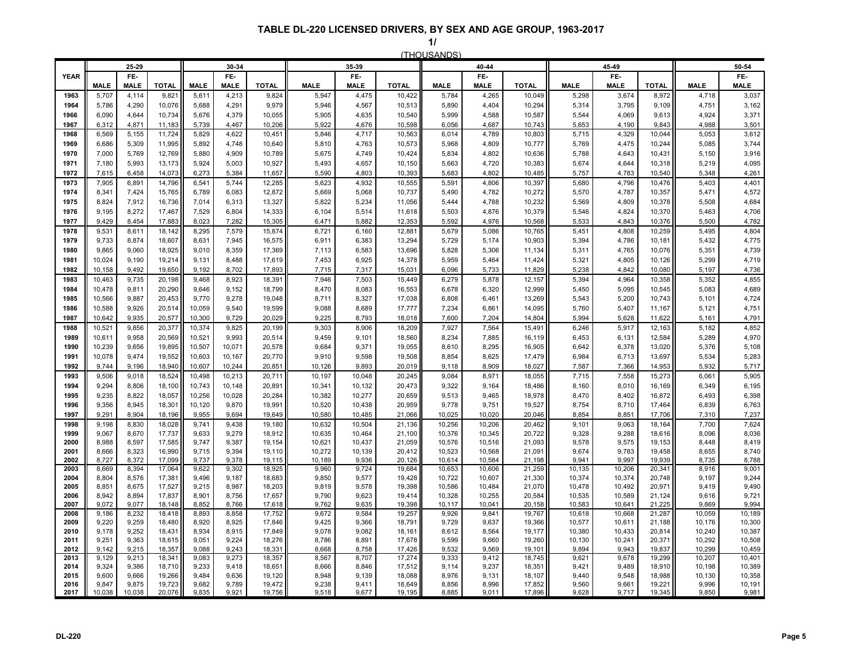| (THOUSANDS) |
|-------------|
|             |
|             |

|              |                  | 25 29          |                  |                  | 30-34          |                  |                  | 35-39            |                  |                  | 40-44            |                  |                  | 45-49            |                  |                  | 50 54            |
|--------------|------------------|----------------|------------------|------------------|----------------|------------------|------------------|------------------|------------------|------------------|------------------|------------------|------------------|------------------|------------------|------------------|------------------|
| <b>YEAR</b>  |                  | FE-            |                  |                  | FE-            |                  |                  | FE-              |                  |                  | FE-              |                  |                  | FE-              |                  |                  | FE-              |
|              | <b>MALE</b>      | <b>MALE</b>    | <b>TOTAL</b>     | <b>MALE</b>      | <b>MALE</b>    | <b>TOTAL</b>     | <b>MALE</b>      | <b>MALE</b>      | <b>TOTAL</b>     | <b>MALE</b>      | <b>MALE</b>      | <b>TOTAL</b>     | <b>MALE</b>      | <b>MALE</b>      | <b>TOTAL</b>     | <b>MALE</b>      | <b>MALE</b>      |
| 1963<br>1964 | 5,707<br>5,786   | 4,114<br>4,290 | 9,821<br>10,076  | 5,611<br>5,688   | 4,213<br>4,291 | 9,824<br>9,979   | 5,947<br>5,946   | 4,475<br>4,567   | 10,422<br>10,513 | 5,784<br>5,890   | 4,265<br>4,404   | 10,049<br>10,294 | 5,298<br>5,314   | 3,674<br>3,795   | 8,972<br>9,109   | 4,718<br>4,751   | 3,037<br>3,162   |
| 1966         | 6,090            | 4,644          | 10,734           | 5,676            | 4,379          | 10,055           | 5,905            | 4,635            | 10,540           | 5,999            | 4,588            | 10,587           | 5,544            | 4,069            | 9,613            | 4,924            | 3,371            |
| 1967         | 6,312            | 4,871          | 11,183           | 5,739            | 4,467          | 10,206           | 5,922            | 4,676            | 10,598           | 6,056            | 4,687            | 10,743           | 5,653            | 4,190            | 9,843            | 4,988            | 3,501            |
| 1968         | 6,569            | 5,155          | 11,724           | 5,829            | 4,622          | 10,451           | 5,846            | 4,717            | 10,563           | 6,014            | 4,789            | 10,803           | 5,715            | 4,329            | 10,044           | 5,053            | 3,612            |
| 1969         | 6,686            | 5,309          | 11,995           | 5,892            | 4,748          | 10,640           | 5,810            | 4,763            | 10,573           | 5,968            | 4,809            | 10,777           | 5,769            | 4,475            | 10,244           | 5,085            | 3,744            |
| 1970         | 7,000            | 5,769          | 12,769           | 5,880            | 4,909          | 10,789           | 5,675            | 4,749            | 10,424           | 5,834            | 4,802            | 10,636           | 5,788            | 4,643            | 10,431           | 5,150            | 3,916            |
| 1971         | 7,180            | 5,993          | 13,173           | 5,924            | 5,003          | 10,927           | 5,493            | 4,657            | 10,150           | 5,663            | 4,720            | 10,383           | 5,674            | 4,644            | 10,318           | 5,219            | 4,095            |
| 1972         | 7,615            | 6,458          | 14,073           | 6,273            | 5,384          | 11,657           | 5,590            | 4,803            | 10,393           | 5,683            | 4,802            | 10,485           | 5,757            | 4,783            | 10,540           | 5,348            | 4,261            |
| 1973         | 7,905            | 6,891          | 14,796           | 6,541            | 5,744          | 12,285           | 5,623            | 4,932            | 10,555           | 5,591            | 4,806            | 10,397           | 5,680            | 4,796            | 10,476           | 5,403            | 4,401            |
| 1974         | 8,341            | 7,424          | 15,765           | 6,789            | 6,083          | 12,872           | 5,669            | 5,068            | 10,737           | 5,490            | 4,782            | 10,272           | 5,570            | 4,787            | 10,357           | 5,471            | 4,572            |
| 1975<br>1976 | 8,824<br>9,195   | 7,912<br>8,272 | 16,736<br>17,467 | 7,014<br>7,529   | 6,313<br>6,804 | 13,327<br>14,333 | 5,822<br>6,104   | 5,234<br>5,514   | 11,056<br>11,618 | 5,444<br>5,503   | 4,788<br>4,876   | 10,232<br>10,379 | 5,569<br>5.546   | 4,809<br>4,824   | 10,378<br>10.370 | 5,508<br>5,463   | 4,684<br>4,706   |
| 1977         | 9,429            | 8,454          | 17,883           | 8,023            | 7,282          | 15,305           | 6,471            | 5,882            | 12,353           | 5,592            | 4,976            | 10,568           | 5,533            | 4,843            | 10,376           | 5,500            | 4,782            |
| 1978         | 9,531            | 8,611          | 18,142           | 8,295            | 7,579          | 15,874           | 6,721            | 6,160            | 12,881           | 5,679            | 5,086            | 10,765           | 5,451            | 4,808            | 10,259           | 5,495            | 4,804            |
| 1979         | 9,733            | 8,874          | 18,607           | 8,631            | 7,945          | 16,575           | 6,911            | 6,383            | 13,294           | 5,729            | 5,174            | 10,903           | 5,394            | 4,786            | 10,181           | 5,432            | 4,775            |
| 1980         | 9,865            | 9,060          | 18,925           | 9,010            | 8,359          | 17,369           | 7,113            | 6,583            | 13,696           | 5,828            | 5,306            | 11,134           | 5,311            | 4,765            | 10,076           | 5,351            | 4,739            |
| 1981         | 10.024           | 9.190          | 19.214           | 9,131            | 8.488          | 17.619           | 7,453            | 6,925            | 14,378           | 5,959            | 5,464            | 11,424           | 5,321            | 4,805            | 10,126           | 5,299            | 4,719            |
| 1982         | 10,158           | 9,492          | 19,650           | 9,192            | 8,702          | 17.893           | 7,715            | 7,317            | 15,031           | 6,096            | 5,733            | 11,829           | 5,238            | 4,842            | 10,080           | 5,197            | 4,736            |
| 1983         | 10,463           | 9,735          | 20,198           | 9,468            | 8,923          | 18,391           | 7,946            | 7,503            | 15,449           | 6,279            | 5,878            | 12,157           | 5,394            | 4,964            | 10,358           | 5,352            | 4,855            |
| 1984         | 10,478           | 9,811          | 20,290           | 9,646            | 9,152          | 18,799           | 8,470            | 8,083            | 16,553           | 6,678            | 6,320            | 12,999           | 5,450            | 5,095            | 10,545           | 5,083            | 4,689            |
| 1985         | 10,566           | 9,887          | 20,453           | 9,770            | 9,278          | 19,048           | 8,711            | 8,327            | 17,038           | 6,808            | 6,461            | 13,269           | 5,543            | 5,200            | 10,743           | 5,101            | 4,724            |
| 1986<br>1987 | 10,588<br>10.642 | 9,926<br>9,935 | 20,514<br>20,577 | 10,059<br>10,300 | 9,540<br>9.729 | 19,599<br>20.029 | 9,088<br>9,225   | 8,689<br>8,793   | 17,777<br>18,018 | 7,234<br>7,600   | 6,861<br>7,204   | 14,095<br>14,804 | 5,760<br>5,994   | 5,407<br>5,628   | 11,167<br>11,622 | 5,121<br>5,161   | 4,751<br>4,791   |
| 1988         | 10,52'           | 9,856          | 20,377           | 10,374           | 9,825          | 20,199           | 9,303            | 8,906            | 18,209           | 7,927            | 7,564            | 15,491           | 6,246            | 5,917            | 12,163           | 5,182            | 4,852            |
| 1989         | 10,611           | 9,958          | 20,569           | 10,521           | 9,993          | 20,514           | 9,459            | 9,101            | 18,560           | 8,234            | 7,885            | 16,119           | 6,453            | 6,131            | 12,584           | 5,289            | 4,970            |
| 1990         | 10,239           | 9,656          | 19,895           | 10,507           | 10,071         | 20,578           | 9,684            | 9,371            | 19,055           | 8,610            | 8,295            | 16,905           | 6,642            | 6,378            | 13,020           | 5,376            | 5,108            |
| 1991         | 10,078           | 9,474          | 19,552           | 10,603           | 10,167         | 20,770           | 9,910            | 9,598            | 19,508           | 8,854            | 8,625            | 17,479           | 6,984            | 6,713            | 13,697           | 5,534            | 5,283            |
| 1992         | 9.744            | 9,196          | 18,940           | 10,607           | 10,244         | 20,851           | 10,126           | 9,893            | 20,019           | 9,118            | 8,909            | 18,027           | 7,587            | 7,366            | 14,953           | 5,932            | 5,717            |
| 1993         | 9,506            | 9,018          | 18,524           | 10,498           | 10,213         | 20,711           | 10,197           | 10,048           | 20,245           | 9,084            | 8,971            | 18,055           | 7,715            | 7,558            | 15,273           | 6,061            | 5,905            |
| 1994         | 9,294            | 8,806          | 18,100           | 10,743           | 10,148         | 20,891           | 10,341           | 10,132           | 20,473           | 9,322            | 9,164            | 18,486           | 8,160            | 8,010            | 16,169           | 6,349            | 6,195            |
| 1995         | 9,235            | 8,822          | 18,057           | 10,256           | 10,028         | 20,284           | 10,382           | 10,277           | 20,659           | 9,513            | 9,465            | 18,978           | 8,470            | 8,402            | 16,872           | 6,493            | 6,398            |
| 1996<br>1997 | 9,356<br>9.291   | 8,945<br>8,904 | 18,301<br>18,196 | 10,120<br>9,955  | 9,870<br>9,694 | 19,991<br>19.649 | 10,520<br>10,580 | 10,438<br>10,485 | 20,959<br>21,066 | 9,778<br>10,025  | 9,751<br>10,020  | 19,527<br>20,046 | 8,754<br>8,854   | 8,710<br>8,851   | 17,464<br>17,706 | 6,839<br>7,310   | 6,763<br>7,237   |
| 1998         | 9,198            | 8,830          | 18,028           | 9,741            | 9,438          | 19,180           | 10,632           | 10,504           | 21,136           | 10,256           | 10,206           | 20,462           | 9,101            | 9,063            | 18,164           | 7,700            | 7,624            |
| 1999         | 9,067            | 8,670          | 17,737           | 9,633            | 9,279          | 18,912           | 10,635           | 10,464           | 21,100           | 10,376           | 10,345           | 20,722           | 9,328            | 9,288            | 18,616           | 8,096            | 8,036            |
| 2000         | 8,988            | 8,597          | 17,585           | 9,747            | 9,387          | 19,154           | 10,621           | 10,437           | 21,059           | 10,576           | 10,516           | 21,093           | 9,578            | 9,575            | 19,153           | 8,448            | 8,419            |
| 2001         | 8,666            | 8,323          | 16,990           | 9,715            | 9,394          | 19,110           | 10,272           | 10,139           | 20,412           | 10,523           | 10,568           | 21,091           | 9,674            | 9,783            | 19,458           | 8,655            | 8,740            |
| 2002<br>2003 | 8,727            | 8,372          | 17,099           | 9,737            | 9,378          | 19,115           | 10,189           | 9,936            | 20,126           | 10,614           | 10,584           | 21,198           | 9,941            | 9,997            | 19,939<br>20,341 | 8,735            | 8,788            |
| 2004         | 8,669<br>8,804   | 8,394<br>8,576 | 17,064<br>17,381 | 9,622<br>9,496   | 9,302<br>9,187 | 18,925<br>18,683 | 9,960<br>9,850   | 9,724<br>9,577   | 19,684<br>19,428 | 10,653<br>10,722 | 10,606<br>10,607 | 21,259<br>21,330 | 10,135<br>10,374 | 10,206<br>10,374 | 20,748           | 8,916<br>9,197   | 9,001<br>9,244   |
| 2005         | 8,851            | 8,675          | 17,527           | 9,215            | 8,987          | 18,203           | 9,819            | 9,578            | 19,398           | 10,586           | 10,484           | 21,070           | 10,478           | 10,492           | 20,971           | 9,419            | 9,490            |
| 2006         | 8.942            | 8,894          | 17,837           | 8,901            | 8,756          | 17,657           | 9,790            | 9,623            | 19,414           | 10,328           | 10.255           | 20,584           | 10,535           | 10,589           | 21,124           | 9,616            | 9,721            |
| 2007         | 9.072            | 9.077          | 18.148           | 8,852            | 8.766          | 17.618           | 9,762            | 9,635            | 19.398           | 10,117           | 10.041           | 20,158           | 10,583           | 10,641           | 21,225           | 9.869            | 9,994            |
| 2008         | 9,186            | 8,232          | 18,418           | 8,893            | 8,858          | 17,752           | 9,672            | 9,584            | 19,257           | 9,926            | 9,841            | 19,767           | 10,618           | 10,668           | 21,287           | 10,059           | 10,189           |
| 2009<br>2010 | 9,220<br>9,178   | 9,259<br>9,252 | 18,480<br>18,431 | 8,920<br>8,934   | 8,925<br>8,915 | 17,846<br>17,849 | 9,425<br>9,078   | 9,366<br>9,082   | 18,791<br>18,161 | 9,729<br>8,612   | 9,637<br>8,564   | 19,366<br>19,177 | 10,577<br>10,380 | 10,611<br>10,433 | 21,188<br>20,814 | 10,176<br>10,240 | 10,300<br>10,387 |
| 2011         | 9,251            | 9,363          | 18,615           | 9,051            | 9,224          | 18,276           | 8,786            | 8,891            | 17,678           | 9,599            | 9,660            | 19,260           | 10,130           | 10,241           | 20,371           | 10,292           | 10,508           |
| 2012         | 9,142            | 9,215          | 18,357           | 9,088            | 9,243          | 18,331           | 8,668            | 8,758            | 17,426           | 9,532            | 9,569            | 19,101           | 9,894            | 9,943            | 19,837           | 10,299           | 10,459           |
| 2013         | 9,129            | 9,213          | 18,341           | 9,083            | 9,273          | 18,357           | 8,567            | 8,707            | 17,274           | 9,333            | 9,412            | 18,745           | 9,621            | 9,678            | 19,299           | 10,207           | 10,401           |
| 2014         | 9,324            | 9,386          | 18,710           | 9,233            | 9,418          | 18,651           | 8,666            | 8,846            | 17,512           | 9,114            | 9,237            | 18,351           | 9,421            | 9,489            | 18,910           | 10,198           | 10,389           |
| 2015<br>2016 | 9,600<br>9,847   | 9,666<br>9,875 | 19,266<br>19,723 | 9,484<br>9,682   | 9,636<br>9,789 | 19,120<br>19,472 | 8,948<br>9,238   | 9,139<br>9,411   | 18,088<br>18,649 | 8,976<br>8,856   | 9,131<br>8,996   | 18,107<br>17,852 | 9,440<br>9,560   | 9,548<br>9,661   | 18,988<br>19,221 | 10,130<br>9,996  | 10,358<br>10,191 |
| 2017         | 10,038           | 10,038         | 20,076           | 9,835            | 9,921          | 19,756           | 9,518            | 9,677            | 19,195           | 8,885            | 9,011            | 17,896           | 9,628            | 9,717            | 19,345           | 9,850            | 9,981            |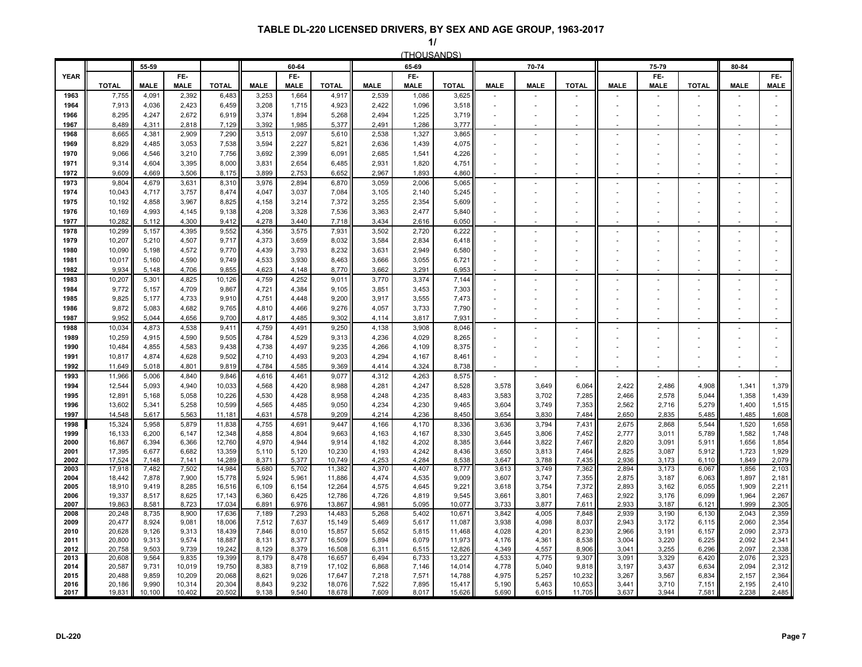**1/**

|              |                  |                |                    |                  |                |                    |                  |                | (THOUSANDS)        |                  |                          |                          |                          |                          |                          |                          |                          |                          |  |
|--------------|------------------|----------------|--------------------|------------------|----------------|--------------------|------------------|----------------|--------------------|------------------|--------------------------|--------------------------|--------------------------|--------------------------|--------------------------|--------------------------|--------------------------|--------------------------|--|
|              |                  | 55-59          |                    |                  |                | 60-64              |                  |                | 65-69              |                  |                          | 70-74                    |                          |                          | 75-79                    |                          | 80-84                    |                          |  |
| <b>YEAR</b>  | <b>TOTAL</b>     | <b>MALE</b>    | FE-<br><b>MALE</b> | <b>TOTAL</b>     | <b>MALE</b>    | FE-<br><b>MALE</b> | <b>TOTAL</b>     | <b>MALE</b>    | FE-<br><b>MALE</b> | <b>TOTAL</b>     | <b>MALE</b>              | <b>MALE</b>              | <b>TOTAL</b>             | <b>MALE</b>              | FE-<br><b>MALE</b>       | <b>TOTAL</b>             | <b>MALE</b>              | FE-<br><b>MALE</b>       |  |
| 1963         | 7,755            | 4,091          | 2,392              | 6,483            | 3,253          | 1,664              | 4,917            | 2,539          | 1,086              | 3,625            |                          | $\sim$                   |                          |                          |                          |                          |                          | $\sim$                   |  |
| 1964         | 7,913            | 4,036          | 2,423              | 6,459            | 3,208          | 1,715              | 4,923            | 2,422          | 1,096              | 3,518            |                          |                          | ٠                        | $\overline{a}$           |                          | $\overline{\phantom{a}}$ |                          |                          |  |
| 1966         | 8,295            | 4,247          | 2,672              | 6,919            | 3,374          | 1,894              | 5,268            | 2,494          | 1,225              | 3,719            |                          |                          |                          | $\sim$                   |                          |                          |                          |                          |  |
| 1967         | 8,489            | 4,311          | 2,818              | 7,129            | 3,392          | 1,985              | 5,377            | 2,491          | 1,286              | 3,777            |                          |                          |                          |                          |                          |                          |                          |                          |  |
| 1968         | 8,665            | 4,381          | 2,909              | 7,290            | 3,513          | 2,097              | 5,610            | 2,538          | 1,327              | 3,865            |                          |                          |                          |                          |                          |                          |                          |                          |  |
| 1969         | 8,829            | 4,485          | 3,053              | 7,538            | 3,594          | 2,227              | 5,821            | 2,636          | 1,439              | 4,075            |                          |                          |                          |                          |                          |                          |                          |                          |  |
| 1970         | 9,066            | 4,546          | 3,210              | 7,756            | 3,692          | 2,399              | 6,091            | 2,685          | 1,541              | 4,226            | $\sim$                   |                          | ٠                        | ÷.                       |                          | $\sim$                   |                          |                          |  |
| 1971<br>1972 | 9,314<br>9,609   | 4,604<br>4,669 | 3,395<br>3,506     | 8,000<br>8,175   | 3,831<br>3,899 | 2,654<br>2,753     | 6,485<br>6,652   | 2,931<br>2,967 | 1,820<br>1,893     | 4,751<br>4,860   |                          |                          | $\sim$                   |                          |                          | ×.                       |                          | $\sim$                   |  |
| 1973         | 9,804            | 4,679          | 3,631              | 8,310            | 3,976          | 2,894              | 6,870            | 3,059          | 2,006              | 5,065            |                          |                          |                          |                          |                          |                          |                          | $\overline{\phantom{a}}$ |  |
| 1974         | 10,043           | 4,717          | 3,757              | 8,474            | 4,047          | 3,037              | 7,084            | 3,105          | 2,140              | 5,245            |                          |                          | ÷,                       |                          |                          | $\sim$                   |                          |                          |  |
| 1975         | 10,192           | 4,858          | 3,967              | 8,825            | 4,158          | 3,214              | 7,372            | 3,255          | 2,354              | 5,609            |                          |                          |                          |                          |                          |                          |                          |                          |  |
| 1976         | 10,169           | 4,993          | 4,145              | 9,138            | 4,208          | 3,328              | 7,536            | 3,363          | 2,477              | 5,840            |                          |                          | ٠                        | $\overline{a}$           |                          | $\overline{\phantom{a}}$ |                          | $\blacksquare$           |  |
| 1977         | 10,282           | 5,112          | 4,300              | 9,412            | 4,278          | 3,440              | 7,718            | 3,434          | 2,616              | 6,050            |                          |                          |                          |                          |                          |                          |                          |                          |  |
| 1978         | 10,299           | 5,157          | 4,395              | 9,552            | 4,356          | 3,575              | 7,931            | 3,502          | 2,720              | 6,222            | $\sim$                   | $\sim$                   | ÷.                       | $\overline{\phantom{a}}$ | $\overline{\phantom{a}}$ | $\sim$                   | $\sim$                   | $\mathbf{r}$             |  |
| 1979         | 10,207           | 5,210          | 4,507              | 9,717            | 4,373          | 3,659              | 8,032            | 3,584          | 2,834              | 6,418            |                          |                          | ٠                        |                          |                          | $\sim$                   |                          | $\sim$                   |  |
| 1980         | 10,090           | 5,198          | 4,572              | 9,770            | 4,439          | 3,793              | 8,232            | 3,631          | 2,949              | 6,580            |                          |                          | ÷,                       | ä,                       |                          | ÷,                       |                          |                          |  |
| 1981<br>1982 | 10,017<br>9,934  | 5,160<br>5,148 | 4,590<br>4,706     | 9,749<br>9,855   | 4,533<br>4,623 | 3,930<br>4,148     | 8,463<br>8,770   | 3,666<br>3,662 | 3,055<br>3,291     | 6,721<br>6,953   |                          | $\overline{\phantom{a}}$ | $\sim$                   | $\overline{\phantom{a}}$ |                          | $\sim$                   |                          |                          |  |
| 1983         | 10,207           | 5,301          | 4,825              | 10,126           | 4,759          | 4,252              | 9,011            | 3,770          | 3,374              | 7,144            |                          | $\sim$                   | $\overline{\phantom{a}}$ |                          |                          |                          |                          | $\blacksquare$           |  |
| 1984         | 9,772            | 5,157          | 4,709              | 9,867            | 4,721          | 4,384              | 9,105            | 3,851          | 3,453              | 7,303            |                          |                          | $\overline{\phantom{a}}$ |                          |                          | $\overline{\phantom{a}}$ |                          | $\overline{\phantom{a}}$ |  |
| 1985         | 9,825            | 5,177          | 4,733              | 9,910            | 4,751          | 4,448              | 9,200            | 3,917          | 3,555              | 7,473            | $\overline{\phantom{a}}$ |                          |                          |                          |                          |                          |                          |                          |  |
| 1986         | 9,872            | 5,083          | 4,682              | 9,765            | 4,810          | 4,466              | 9,276            | 4,057          | 3,733              | 7,790            |                          | $\overline{\phantom{a}}$ | $\sim$                   | $\sim$                   |                          | $\sim$                   |                          | $\sim$                   |  |
| 1987         | 9,952            | 5,044          | 4,656              | 9,700            | 4,817          | 4,485              | 9,302            | 4,114          | 3,817              | 7,931            |                          |                          |                          |                          |                          |                          |                          |                          |  |
| 1988         | 10,034           | 4,873          | 4,538              | 9,411            | 4,759          | 4,491              | 9,250            | 4,138          | 3,908              | 8,046            |                          | $\sim$                   |                          |                          |                          |                          |                          | $\sim$                   |  |
| 1989         | 10,259           | 4,915          | 4,590              | 9,505            | 4,784          | 4,529              | 9,313            | 4,236          | 4,029              | 8,265            |                          | $\overline{\phantom{a}}$ | $\overline{\phantom{a}}$ |                          |                          | $\overline{\phantom{a}}$ |                          | $\blacksquare$           |  |
| 1990         | 10,484           | 4,855          | 4,583              | 9,438            | 4,738          | 4,497              | 9,235            | 4,266          | 4,109              | 8,375            |                          |                          |                          |                          |                          |                          |                          |                          |  |
| 1991<br>1992 | 10,817<br>11,649 | 4,874<br>5.018 | 4,628<br>4,801     | 9,502<br>9,819   | 4,710<br>4,784 | 4,493<br>4,585     | 9,203<br>9,369   | 4,294<br>4.414 | 4,167<br>4,324     | 8,461<br>8,738   |                          | $\sim$                   | $\overline{\phantom{a}}$ | $\overline{\phantom{a}}$ |                          | $\overline{\phantom{a}}$ | $\overline{\phantom{a}}$ |                          |  |
| 1993         | 11,966           | 5,006          | 4,840              | 9,846            | 4,616          | 4,461              | 9,077            | 4,312          | 4,263              | 8,575            |                          | $\sim$                   |                          |                          |                          |                          |                          | $\sim$                   |  |
| 1994         | 12,544           | 5,093          | 4,940              | 10,033           | 4,568          | 4,420              | 8,988            | 4,281          | 4,247              | 8,528            | 3,578                    | 3,649                    | 6,064                    | 2,422                    | 2,486                    | 4,908                    | 1,341                    | 1,379                    |  |
| 1995         | 12,891           | 5,168          | 5,058              | 10,226           | 4,530          | 4,428              | 8,958            | 4,248          | 4,235              | 8,483            | 3,583                    | 3,702                    | 7,285                    | 2,466                    | 2,578                    | 5,044                    | 1,358                    | 1,439                    |  |
| 1996         | 13,602           | 5,341          | 5,258              | 10,599           | 4,565          | 4,485              | 9,050            | 4,234          | 4,230              | 9,465            | 3,604                    | 3,749                    | 7,353                    | 2,562                    | 2,716                    | 5,279                    | 1,400                    | 1,515                    |  |
| 1997         | 14,548           | 5,617          | 5,563              | 11,181           | 4,631          | 4,578              | 9,209            | 4,214          | 4,236              | 8,450            | 3.654                    | 3,830                    | 7,484                    | 2,650                    | 2,835                    | 5,485                    | 1,485                    | 1,608                    |  |
| 1998         | 15,324           | 5,958          | 5,879              | 11,838           | 4,755          | 4,691              | 9,447            | 4,166          | 4,170              | 8,336            | 3,636                    | 3,794                    | 7,431                    | 2,675                    | 2,868                    | 5,544                    | 1,520                    | 1,658                    |  |
| 1999<br>2000 | 16,133<br>16,867 | 6,200<br>6,394 | 6,147<br>6,366     | 12,348<br>12,760 | 4,858<br>4,970 | 4,804<br>4,944     | 9,663<br>9,914   | 4,163<br>4,182 | 4,167<br>4,202     | 8,330<br>8,385   | 3,645<br>3,644           | 3,806<br>3,822           | 7,452<br>7,467           | 2,777<br>2,820           | 3,011<br>3,091           | 5,789<br>5,911           | 1,582<br>1,656           | 1,748<br>1,854           |  |
| 2001         | 17,395           | 6,677          | 6,682              | 13,359           | 5,110          | 5,120              | 10,230           | 4,193          | 4,242              | 8,436            | 3,650                    | 3,813                    | 7,464                    | 2,825                    | 3,087                    | 5,912                    | 1,723                    | 1,929                    |  |
| 2002         | 17,524           | 7,148          | 7,141              | 14,289           | 8,371          | 5,377              | 10,749           | 4,253          | 4,284              | 8,538            | 3,647                    | 3,788                    | 7,435                    | 2,936                    | 3,173                    | 6,110                    | 1,849                    | 2,079                    |  |
| 2003         | 17,918           | 7,482          | 7,502              | 14,984           | 5,680          | 5,702              | 11,382           | 4,370          | 4,407              | 8,777            | 3,613                    | 3,749                    | 7,362                    | 2,894                    | 3,173                    | 6,067                    | 1,856                    | 2,103                    |  |
| 2004         | 18,442           | 7,878          | 7,900              | 15,778           | 5,924          | 5,961              | 11,886           | 4,474          | 4,535              | 9,009            | 3,607                    | 3,747                    | 7,355                    | 2,875                    | 3,187                    | 6,063                    | 1,897                    | 2,181                    |  |
| 2005<br>2006 | 18,910<br>19,337 | 9,419<br>8,517 | 8,285<br>8,625     | 16,516<br>17,143 | 6,109<br>6,360 | 6,154<br>6,425     | 12,264<br>12,786 | 4,575<br>4,726 | 4,645<br>4,819     | 9,221<br>9,545   | 3,618<br>3,661           | 3,754<br>3,801           | 7,372<br>7,463           | 2,893<br>2,922           | 3,162<br>3,176           | 6,055<br>6,099           | 1,909<br>1,964           | 2,211<br>2,267           |  |
| 2007         | 19,863           | 8,581          | 8,723              | 17,034           | 6,891          | 6,976              | 13,867           | 4,981          | 5,095              | 10,077           | 3,733                    | 3,877                    | 7,611                    | 2,933                    | 3,187                    | 6,121                    | 1,999                    | 2,305                    |  |
| 2008         | 20,248           | 8,735          | 8,900              | 17,636           | 7,189          | 7,293              | 14,483           | 5,268          | 5,402              | 10,671           | 3,842                    | 4,005                    | 7,848                    | 2,939                    | 3,190                    | 6,130                    | 2,043                    | 2,359                    |  |
| 2009         | 20,477           | 8,924          | 9,081              | 18,006           | 7,512          | 7,637              | 15,149           | 5,469          | 5,617              | 11,087           | 3,938                    | 4,098                    | 8,037                    | 2,943                    | 3,172                    | 6,115                    | 2,060                    | 2,354                    |  |
| 2010         | 20,628           | 9,126          | 9,313              | 18,439           | 7,846          | 8,010              | 15,857           | 5,652          | 5,815              | 11,468           | 4,028                    | 4,201                    | 8,230                    | 2,966                    | 3,191                    | 6,157                    | 2,090                    | 2,373                    |  |
| 2011<br>2012 | 20,800<br>20,758 | 9,313<br>9,503 | 9,574<br>9,739     | 18,887<br>19,242 | 8,131<br>8,129 | 8,377<br>8,379     | 16,509<br>16,508 | 5,894<br>6,311 | 6,079<br>6,515     | 11,973<br>12,826 | 4,176<br>4,349           | 4,361<br>4,557           | 8,538<br>8,906           | 3,004<br>3,041           | 3,220<br>3,255           | 6,225<br>6,296           | 2,092<br>2,097           | 2,341<br>2,338           |  |
| 2013         | 20,608           | 9,564          | 9,835              | 19,399           | 8,179          | 8,478              | 16,657           | 6,494          | 6,733              | 13,227           | 4,533                    | 4,775                    | 9,307                    | 3,091                    | 3,329                    | 6,420                    | 2,076                    | 2,323                    |  |
| 2014         | 20,587           | 9,731          | 10,019             | 19,750           | 8,383          | 8,719              | 17,102           | 6,868          | 7,146              | 14,014           | 4,778                    | 5,040                    | 9,818                    | 3,197                    | 3,437                    | 6,634                    | 2,094                    | 2,312                    |  |
| 2015         | 20,488           | 9,859          | 10,209             | 20,068           | 8,621          | 9,026              | 17,647           | 7,218          | 7,571              | 14,788           | 4,975                    | 5,257                    | 10,232                   | 3,267                    | 3,567                    | 6,834                    | 2,157                    | 2,364                    |  |
| 2016         | 20,186           | 9,990          | 10,314             | 20,304           | 8,843          | 9,232              | 18,076           | 7,522          | 7,895              | 15,417           | 5,190                    | 5,463                    | 10,653                   | 3,441                    | 3,710                    | 7,151                    | 2,195                    | 2,410                    |  |
| 2017         | 19,831           | 10,100         | 10,402             | 20,502           | 9,138          | 9,540              | 18,678           | 7,609          | 8,017              | 15,626           | 5,690                    | 6,015                    | 11,705                   | 3,637                    | 3,944                    | 7,581                    | 2,238                    | 2,485                    |  |